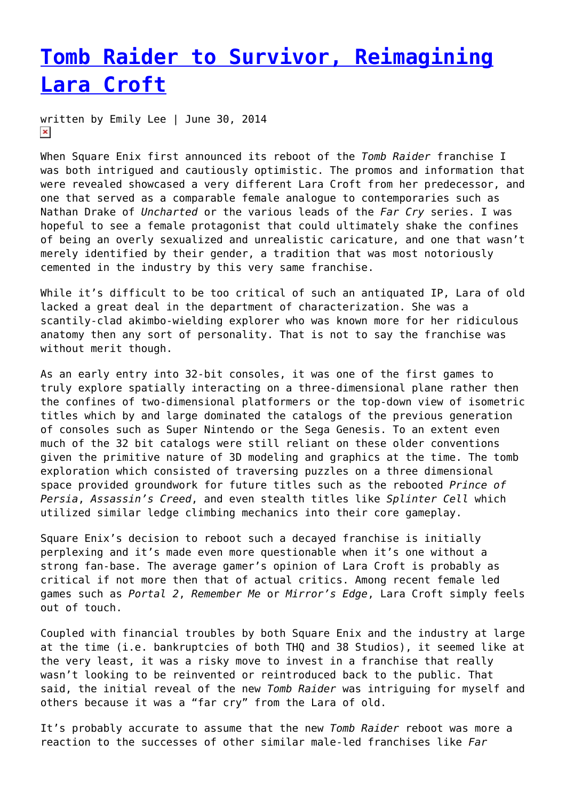# **[Tomb Raider to Survivor, Reimagining](https://entropymag.org/tomb-raider-to-survivor-reimagining-lara-croft/) [Lara Croft](https://entropymag.org/tomb-raider-to-survivor-reimagining-lara-croft/)**

written by Emily Lee | June 30, 2014  $\pmb{\times}$ 

When Square Enix first announced its reboot of the *Tomb Raider* franchise I was both intrigued and cautiously optimistic. The promos and information that were revealed showcased a very different Lara Croft from her predecessor, and one that served as a comparable female analogue to contemporaries such as Nathan Drake of *Uncharted* or the various leads of the *Far Cry* series. I was hopeful to see a female protagonist that could ultimately shake the confines of being an overly sexualized and unrealistic caricature, and one that wasn't merely identified by their gender, a tradition that was most notoriously cemented in the industry by this very same franchise.

While it's difficult to be too critical of such an antiquated IP, Lara of old lacked a great deal in the department of characterization. She was a scantily-clad akimbo-wielding explorer who was known more for her ridiculous anatomy then any sort of personality. That is not to say the franchise was without merit though.

As an early entry into 32-bit consoles, it was one of the first games to truly explore spatially interacting on a three-dimensional plane rather then the confines of two-dimensional platformers or the top-down view of isometric titles which by and large dominated the catalogs of the previous generation of consoles such as Super Nintendo or the Sega Genesis. To an extent even much of the 32 bit catalogs were still reliant on these older conventions given the primitive nature of 3D modeling and graphics at the time. The tomb exploration which consisted of traversing puzzles on a three dimensional space provided groundwork for future titles such as the rebooted *Prince of Persia*, *Assassin's Creed*, and even stealth titles like *Splinter Cell* which utilized similar ledge climbing mechanics into their core gameplay.

Square Enix's decision to reboot such a decayed franchise is initially perplexing and it's made even more questionable when it's one without a strong fan-base. The average gamer's opinion of Lara Croft is probably as critical if not more then that of actual critics. Among recent female led games such as *Portal 2*, *Remember Me* or *Mirror's Edge*, Lara Croft simply feels out of touch.

Coupled with financial troubles by both Square Enix and the industry at large at the time (i.e. bankruptcies of both THQ and 38 Studios), it seemed like at the very least, it was a risky move to invest in a franchise that really wasn't looking to be reinvented or reintroduced back to the public. That said, the initial reveal of the new *Tomb Raider* was intriguing for myself and others because it was a "far cry" from the Lara of old.

It's probably accurate to assume that the new *Tomb Raider* reboot was more a reaction to the successes of other similar male-led franchises like *Far*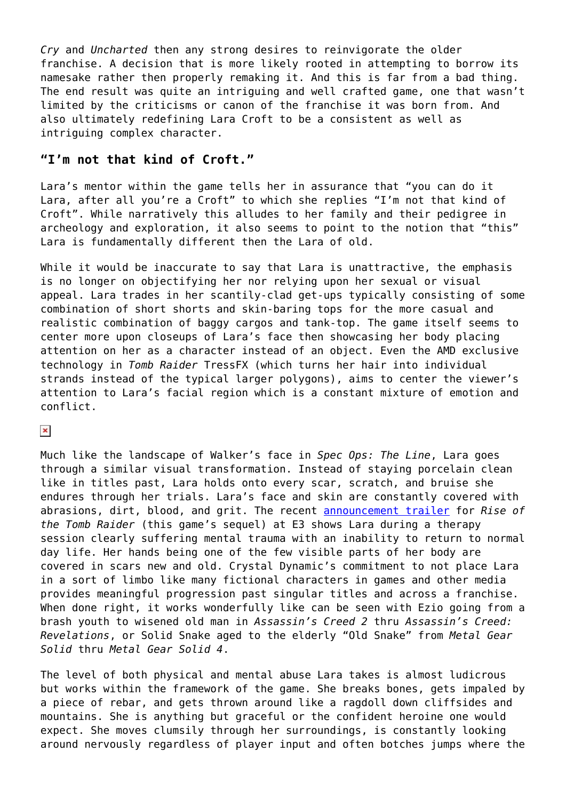*Cry* and *Uncharted* then any strong desires to reinvigorate the older franchise. A decision that is more likely rooted in attempting to borrow its namesake rather then properly remaking it. And this is far from a bad thing. The end result was quite an intriguing and well crafted game, one that wasn't limited by the criticisms or canon of the franchise it was born from. And also ultimately redefining Lara Croft to be a consistent as well as intriguing complex character.

## **"I'm not that kind of Croft."**

Lara's mentor within the game tells her in assurance that "you can do it Lara, after all you're a Croft" to which she replies "I'm not that kind of Croft". While narratively this alludes to her family and their pedigree in archeology and exploration, it also seems to point to the notion that "this" Lara is fundamentally different then the Lara of old.

While it would be inaccurate to say that Lara is unattractive, the emphasis is no longer on objectifying her nor relying upon her sexual or visual appeal. Lara trades in her scantily-clad get-ups typically consisting of some combination of short shorts and skin-baring tops for the more casual and realistic combination of baggy cargos and tank-top. The game itself seems to center more upon closeups of Lara's face then showcasing her body placing attention on her as a character instead of an object. Even the AMD exclusive technology in *Tomb Raider* TressFX (which turns her hair into individual strands instead of the typical larger polygons), aims to center the viewer's attention to Lara's facial region which is a constant mixture of emotion and conflict.

 $\pmb{\times}$ 

Much like the landscape of Walker's face in *Spec Ops: The Line*, Lara goes through a similar visual transformation. Instead of staying porcelain clean like in titles past, Lara holds onto every scar, scratch, and bruise she endures through her trials. Lara's face and skin are constantly covered with abrasions, dirt, blood, and grit. The recent [announcement trailer](https://www.youtube.com/watch?v=dSA05HzdNBE) for *Rise of the Tomb Raider* (this game's sequel) at E3 shows Lara during a therapy session clearly suffering mental trauma with an inability to return to normal day life. Her hands being one of the few visible parts of her body are covered in scars new and old. Crystal Dynamic's commitment to not place Lara in a sort of limbo like many fictional characters in games and other media provides meaningful progression past singular titles and across a franchise. When done right, it works wonderfully like can be seen with Ezio going from a brash youth to wisened old man in *Assassin's Creed 2* thru *Assassin's Creed: Revelations*, or Solid Snake aged to the elderly "Old Snake" from *Metal Gear Solid* thru *Metal Gear Solid 4*.

The level of both physical and mental abuse Lara takes is almost ludicrous but works within the framework of the game. She breaks bones, gets impaled by a piece of rebar, and gets thrown around like a ragdoll down cliffsides and mountains. She is anything but graceful or the confident heroine one would expect. She moves clumsily through her surroundings, is constantly looking around nervously regardless of player input and often botches jumps where the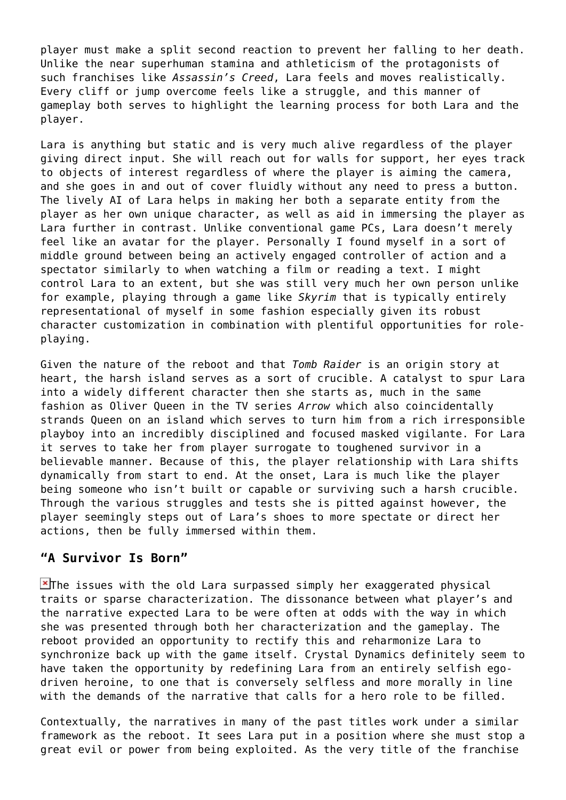player must make a split second reaction to prevent her falling to her death. Unlike the near superhuman stamina and athleticism of the protagonists of such franchises like *Assassin's Creed*, Lara feels and moves realistically. Every cliff or jump overcome feels like a struggle, and this manner of gameplay both serves to highlight the learning process for both Lara and the player.

Lara is anything but static and is very much alive regardless of the player giving direct input. She will reach out for walls for support, her eyes track to objects of interest regardless of where the player is aiming the camera, and she goes in and out of cover fluidly without any need to press a button. The lively AI of Lara helps in making her both a separate entity from the player as her own unique character, as well as aid in immersing the player as Lara further in contrast. Unlike conventional game PCs, Lara doesn't merely feel like an avatar for the player. Personally I found myself in a sort of middle ground between being an actively engaged controller of action and a spectator similarly to when watching a film or reading a text. I might control Lara to an extent, but she was still very much her own person unlike for example, playing through a game like *Skyrim* that is typically entirely representational of myself in some fashion especially given its robust character customization in combination with plentiful opportunities for roleplaying.

Given the nature of the reboot and that *Tomb Raider* is an origin story at heart, the harsh island serves as a sort of crucible. A catalyst to spur Lara into a widely different character then she starts as, much in the same fashion as Oliver Queen in the TV series *Arrow* which also coincidentally strands Queen on an island which serves to turn him from a rich irresponsible playboy into an incredibly disciplined and focused masked vigilante. For Lara it serves to take her from player surrogate to toughened survivor in a believable manner. Because of this, the player relationship with Lara shifts dynamically from start to end. At the onset, Lara is much like the player being someone who isn't built or capable or surviving such a harsh crucible. Through the various struggles and tests she is pitted against however, the player seemingly steps out of Lara's shoes to more spectate or direct her actions, then be fully immersed within them.

### **"A Survivor Is Born"**

 $\blacktriangleright$ The issues with the old Lara surpassed simply her exaggerated physical traits or sparse characterization. The dissonance between what player's and the narrative expected Lara to be were often at odds with the way in which she was presented through both her characterization and the gameplay. The reboot provided an opportunity to rectify this and reharmonize Lara to synchronize back up with the game itself. Crystal Dynamics definitely seem to have taken the opportunity by redefining Lara from an entirely selfish egodriven heroine, to one that is conversely selfless and more morally in line with the demands of the narrative that calls for a hero role to be filled.

Contextually, the narratives in many of the past titles work under a similar framework as the reboot. It sees Lara put in a position where she must stop a great evil or power from being exploited. As the very title of the franchise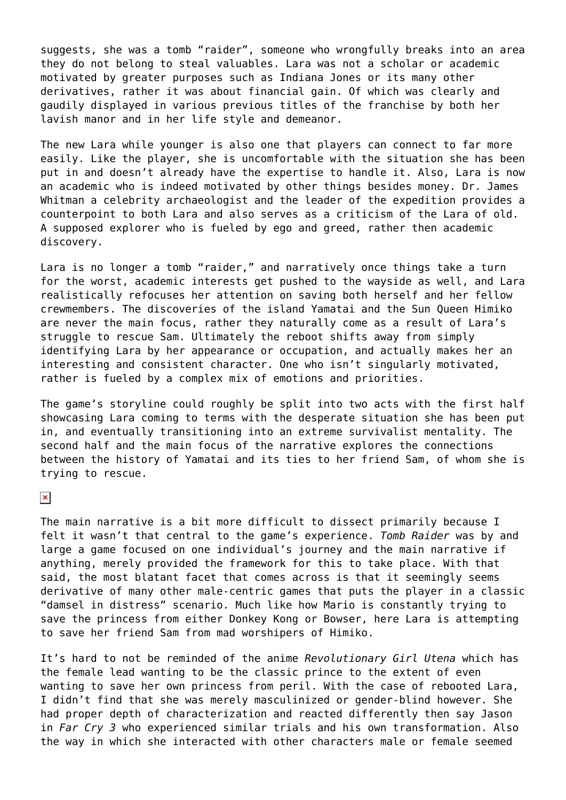suggests, she was a tomb "raider", someone who wrongfully breaks into an area they do not belong to steal valuables. Lara was not a scholar or academic motivated by greater purposes such as Indiana Jones or its many other derivatives, rather it was about financial gain. Of which was clearly and gaudily displayed in various previous titles of the franchise by both her lavish manor and in her life style and demeanor.

The new Lara while younger is also one that players can connect to far more easily. Like the player, she is uncomfortable with the situation she has been put in and doesn't already have the expertise to handle it. Also, Lara is now an academic who is indeed motivated by other things besides money. Dr. James Whitman a celebrity archaeologist and the leader of the expedition provides a counterpoint to both Lara and also serves as a criticism of the Lara of old. A supposed explorer who is fueled by ego and greed, rather then academic discovery.

Lara is no longer a tomb "raider," and narratively once things take a turn for the worst, academic interests get pushed to the wayside as well, and Lara realistically refocuses her attention on saving both herself and her fellow crewmembers. The discoveries of the island Yamatai and the Sun Queen Himiko are never the main focus, rather they naturally come as a result of Lara's struggle to rescue Sam. Ultimately the reboot shifts away from simply identifying Lara by her appearance or occupation, and actually makes her an interesting and consistent character. One who isn't singularly motivated, rather is fueled by a complex mix of emotions and priorities.

The game's storyline could roughly be split into two acts with the first half showcasing Lara coming to terms with the desperate situation she has been put in, and eventually transitioning into an extreme survivalist mentality. The second half and the main focus of the narrative explores the connections between the history of Yamatai and its ties to her friend Sam, of whom she is trying to rescue.

#### $\pmb{\times}$

The main narrative is a bit more difficult to dissect primarily because I felt it wasn't that central to the game's experience. *Tomb Raider* was by and large a game focused on one individual's journey and the main narrative if anything, merely provided the framework for this to take place. With that said, the most blatant facet that comes across is that it seemingly seems derivative of many other male-centric games that puts the player in a classic "damsel in distress" scenario. Much like how Mario is constantly trying to save the princess from either Donkey Kong or Bowser, here Lara is attempting to save her friend Sam from mad worshipers of Himiko.

It's hard to not be reminded of the anime *Revolutionary Girl Utena* which has the female lead wanting to be the classic prince to the extent of even wanting to save her own princess from peril. With the case of rebooted Lara, I didn't find that she was merely masculinized or gender-blind however. She had proper depth of characterization and reacted differently then say Jason in *Far Cry 3* who experienced similar trials and his own transformation. Also the way in which she interacted with other characters male or female seemed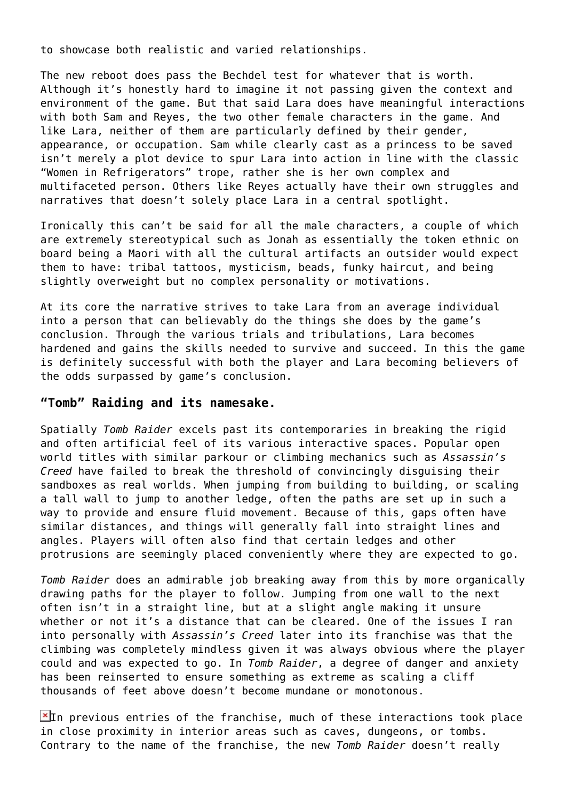to showcase both realistic and varied relationships.

The new reboot does pass the Bechdel test for whatever that is worth. Although it's honestly hard to imagine it not passing given the context and environment of the game. But that said Lara does have meaningful interactions with both Sam and Reyes, the two other female characters in the game. And like Lara, neither of them are particularly defined by their gender, appearance, or occupation. Sam while clearly cast as a princess to be saved isn't merely a plot device to spur Lara into action in line with the classic "Women in Refrigerators" trope, rather she is her own complex and multifaceted person. Others like Reyes actually have their own struggles and narratives that doesn't solely place Lara in a central spotlight.

Ironically this can't be said for all the male characters, a couple of which are extremely stereotypical such as Jonah as essentially the token ethnic on board being a Maori with all the cultural artifacts an outsider would expect them to have: tribal tattoos, mysticism, beads, funky haircut, and being slightly overweight but no complex personality or motivations.

At its core the narrative strives to take Lara from an average individual into a person that can believably do the things she does by the game's conclusion. Through the various trials and tribulations, Lara becomes hardened and gains the skills needed to survive and succeed. In this the game is definitely successful with both the player and Lara becoming believers of the odds surpassed by game's conclusion.

#### **"Tomb" Raiding and its namesake.**

Spatially *Tomb Raider* excels past its contemporaries in breaking the rigid and often artificial feel of its various interactive spaces. Popular open world titles with similar parkour or climbing mechanics such as *Assassin's Creed* have failed to break the threshold of convincingly disguising their sandboxes as real worlds. When jumping from building to building, or scaling a tall wall to jump to another ledge, often the paths are set up in such a way to provide and ensure fluid movement. Because of this, gaps often have similar distances, and things will generally fall into straight lines and angles. Players will often also find that certain ledges and other protrusions are seemingly placed conveniently where they are expected to go.

*Tomb Raider* does an admirable job breaking away from this by more organically drawing paths for the player to follow. Jumping from one wall to the next often isn't in a straight line, but at a slight angle making it unsure whether or not it's a distance that can be cleared. One of the issues I ran into personally with *Assassin's Creed* later into its franchise was that the climbing was completely mindless given it was always obvious where the player could and was expected to go. In *Tomb Raider*, a degree of danger and anxiety has been reinserted to ensure something as extreme as scaling a cliff thousands of feet above doesn't become mundane or monotonous.

 $\mathbb{E}$ In previous entries of the franchise, much of these interactions took place in close proximity in interior areas such as caves, dungeons, or tombs. Contrary to the name of the franchise, the new *Tomb Raider* doesn't really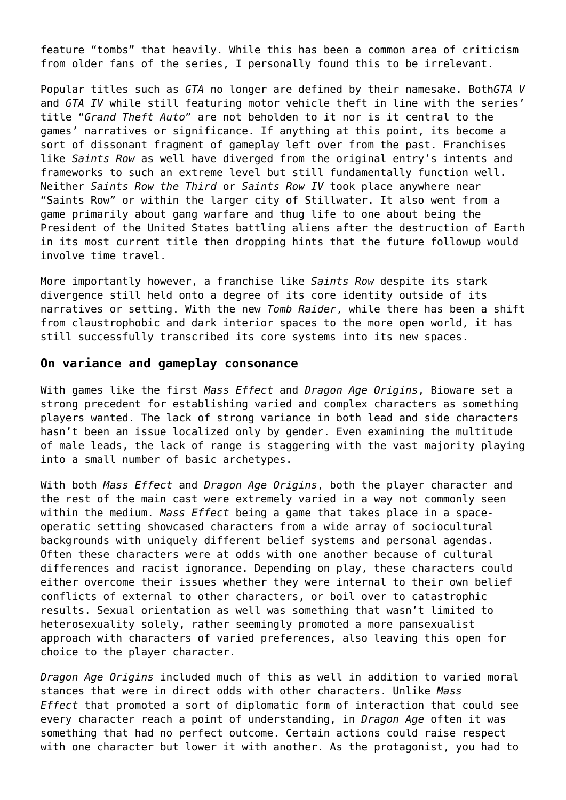feature "tombs" that heavily. While this has been a common area of criticism from older fans of the series, I personally found this to be irrelevant.

Popular titles such as *GTA* no longer are defined by their namesake. Both*GTA V* and *GTA IV* while still featuring motor vehicle theft in line with the series' title "*Grand Theft Auto*" are not beholden to it nor is it central to the games' narratives or significance. If anything at this point, its become a sort of dissonant fragment of gameplay left over from the past. Franchises like *Saints Row* as well have diverged from the original entry's intents and frameworks to such an extreme level but still fundamentally function well. Neither *Saints Row the Third* or *Saints Row IV* took place anywhere near "Saints Row" or within the larger city of Stillwater. It also went from a game primarily about gang warfare and thug life to one about being the President of the United States battling aliens after the destruction of Earth in its most current title then dropping hints that the future followup would involve time travel.

More importantly however, a franchise like *Saints Row* despite its stark divergence still held onto a degree of its core identity outside of its narratives or setting. With the new *Tomb Raider*, while there has been a shift from claustrophobic and dark interior spaces to the more open world, it has still successfully transcribed its core systems into its new spaces.

#### **On variance and gameplay consonance**

With games like the first *Mass Effect* and *Dragon Age Origins*, Bioware set a strong precedent for establishing varied and complex characters as something players wanted. The lack of strong variance in both lead and side characters hasn't been an issue localized only by gender. Even examining the multitude of male leads, the lack of range is staggering with the vast majority playing into a small number of basic archetypes.

With both *Mass Effect* and *Dragon Age Origins*, both the player character and the rest of the main cast were extremely varied in a way not commonly seen within the medium. *Mass Effect* being a game that takes place in a spaceoperatic setting showcased characters from a wide array of sociocultural backgrounds with uniquely different belief systems and personal agendas. Often these characters were at odds with one another because of cultural differences and racist ignorance. Depending on play, these characters could either overcome their issues whether they were internal to their own belief conflicts of external to other characters, or boil over to catastrophic results. Sexual orientation as well was something that wasn't limited to heterosexuality solely, rather seemingly promoted a more pansexualist approach with characters of varied preferences, also leaving this open for choice to the player character.

*Dragon Age Origins* included much of this as well in addition to varied moral stances that were in direct odds with other characters. Unlike *Mass Effect* that promoted a sort of diplomatic form of interaction that could see every character reach a point of understanding, in *Dragon Age* often it was something that had no perfect outcome. Certain actions could raise respect with one character but lower it with another. As the protagonist, you had to